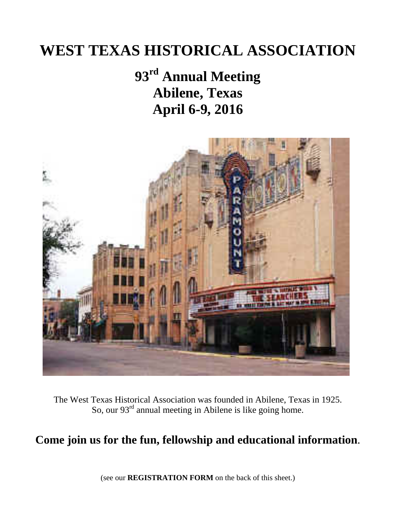# **WEST TEXAS HISTORICAL ASSOCIATION**

# **93rd Annual Meeting Abilene, Texas April 6-9, 2016**



The West Texas Historical Association was founded in Abilene, Texas in 1925. So, our  $93<sup>rd</sup>$  annual meeting in Abilene is like going home.

## **Come join us for the fun, fellowship and educational information**.

(see our **REGISTRATION FORM** on the back of this sheet.)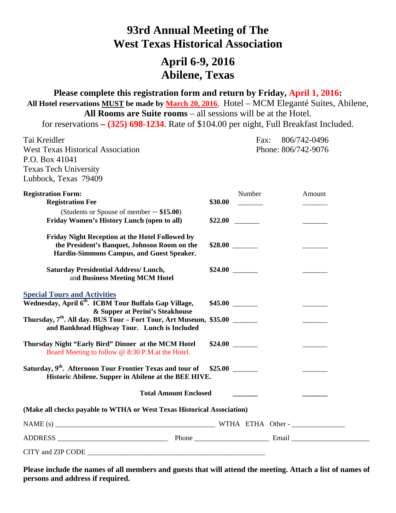### **93rd Annual Meeting of The West Texas Historical Association**

### **April 6-9, 2016 Abilene, Texas**

## **Please complete this registration form and return by Friday, April 1, 2016:**

**All Hotel reservations MUST be made by March 20, 2016**, Hotel – MCM Eleganté Suites, Abilene, **All Rooms are Suite rooms** – all sessions will be at the Hotel.

for reservations **– (325) 698-1234**. Rate of \$104.00 per night, Full Breakfast Included.

| Tai Kreidler                                                                                                                                 | 806/742-0496<br>Fax: |                                                                                                                                                      |
|----------------------------------------------------------------------------------------------------------------------------------------------|----------------------|------------------------------------------------------------------------------------------------------------------------------------------------------|
| <b>West Texas Historical Association</b><br>P.O. Box 41041<br><b>Texas Tech University</b><br>Lubbock, Texas 79409                           |                      | Phone: 806/742-9076                                                                                                                                  |
| <b>Registration Form:</b>                                                                                                                    | Number               | Amount                                                                                                                                               |
| <b>Registration Fee</b>                                                                                                                      | \$30.00              |                                                                                                                                                      |
| (Students or Spouse of member $-$ \$15.00)<br>Friday Women's History Lunch (open to all)                                                     |                      |                                                                                                                                                      |
| Friday Night Reception at the Hotel Followed by<br>the President's Banquet, Johnson Room on the<br>Hardin-Simmons Campus, and Guest Speaker. |                      |                                                                                                                                                      |
| <b>Saturday Presidential Address/Lunch,</b><br>and Business Meeting MCM Hotel                                                                |                      |                                                                                                                                                      |
| Special Tours and Activities<br>Wednesday, April 6 <sup>th</sup> . ICBM Tour Buffalo Gap Village,<br>& Supper at Perini's Steakhouse         |                      |                                                                                                                                                      |
| Thursday, 7 <sup>th</sup> . All day. BUS Tour - Fort Tour, Art Museum, \$35.00 ______<br>and Bankhead Highway Tour. Lunch is Included        |                      | $\label{eq:2} \begin{array}{ll} \mathcal{L}_{\text{max}}(\mathcal{L}_{\text{max}}) = \mathcal{L}_{\text{max}}(\mathcal{L}_{\text{max}}) \end{array}$ |
| Thursday Night "Early Bird" Dinner at the MCM Hotel<br>Board Meeting to follow @ 8:30 P.M.at the Hotel.                                      |                      |                                                                                                                                                      |
| Saturday, 9 <sup>th</sup> . Afternoon Tour Frontier Texas and tour of<br>Historic Abilene. Supper in Abilene at the BEE HIVE.                | \$25.00              |                                                                                                                                                      |
| <b>Total Amount Enclosed</b>                                                                                                                 |                      |                                                                                                                                                      |
| (Make all checks payable to WTHA or West Texas Historical Association)                                                                       |                      |                                                                                                                                                      |
|                                                                                                                                              |                      |                                                                                                                                                      |
| ADDRESS EXAMPLE Phone Email Email                                                                                                            |                      |                                                                                                                                                      |
|                                                                                                                                              |                      |                                                                                                                                                      |

**Please include the names of all members and guests that will attend the meeting. Attach a list of names of persons and address if required.**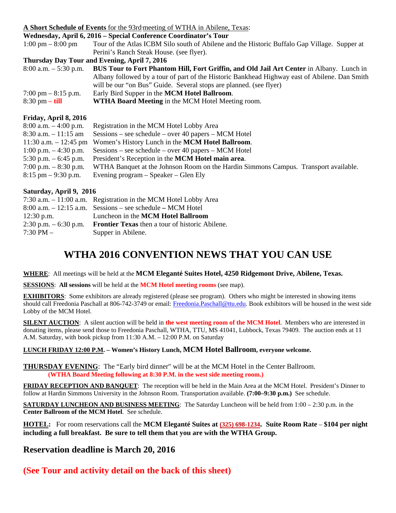#### **A Short Schedule of Events** for the 93rd meeting of WTHA in Abilene, Texas:

| A SHOLT SCHEDULE OF EVENTS TOF THE 2010 INCOMING OF WITH A THE ADDRIVE, TEADS. |                                                                                                 |  |  |
|--------------------------------------------------------------------------------|-------------------------------------------------------------------------------------------------|--|--|
| Wednesday, April 6, 2016 – Special Conference Coordinator's Tour               |                                                                                                 |  |  |
| $1:00 \text{ pm} - 8:00 \text{ pm}$                                            | Tour of the Atlas ICBM Silo south of Abilene and the Historic Buffalo Gap Village. Supper at    |  |  |
|                                                                                | Perini's Ranch Steak House. (see flyer).                                                        |  |  |
|                                                                                | Thursday Day Tour and Evening, April 7, 2016                                                    |  |  |
| $8:00$ a.m. $-5:30$ p.m.                                                       | <b>BUS Tour to Fort Phantom Hill, Fort Griffin, and Old Jail Art Center in Albany. Lunch in</b> |  |  |
|                                                                                | Albany followed by a tour of part of the Historic Bankhead Highway east of Abilene. Dan Smith   |  |  |
|                                                                                | will be our "on Bus" Guide. Several stops are planned. (see flyer)                              |  |  |
| 7:00 pm $-$ 8:15 p.m.                                                          | Early Bird Supper in the MCM Hotel Ballroom.                                                    |  |  |
| $8:30 \text{ pm} - \textbf{till}$                                              | WTHA Board Meeting in the MCM Hotel Meeting room.                                               |  |  |
| Friday, April 8, 2016                                                          |                                                                                                 |  |  |
| $8:00$ a.m. $-4:00$ p.m.                                                       | Registration in the MCM Hotel Lobby Area                                                        |  |  |
| $8:30$ a.m. $-11:15$ am                                                        | $S_{\text{essions}}$ – see schedule – over 40 papers – MCM Hotel                                |  |  |
| 11:30 a.m. $- 12:45$ pm                                                        | Women's History Lunch in the MCM Hotel Ballroom.                                                |  |  |
| 1:00 p.m. $-4:30$ p.m.                                                         | $S_{\text{essions}}$ – see schedule – over 40 papers – MCM Hotel                                |  |  |
| 5:30 p.m. $-6:45$ p.m.                                                         | President's Reception in the MCM Hotel main area.                                               |  |  |
| 7:00 p.m. $-8:30$ p.m.                                                         | WTHA Banquet at the Johnson Room on the Hardin Simmons Campus. Transport available.             |  |  |

8:15 pm – 9:30 p.m. Evening program – Speaker – Glen Ely

#### **Saturday, April 9, 2016**

| $7:30$ a.m. $-11:00$ a.m. Registration in the MCM Hotel Lobby Area |
|--------------------------------------------------------------------|
| $8:00$ a.m. $-12:15$ a.m. Sessions – see schedule – MCM Hotel      |
| Luncheon in the MCM Hotel Ballroom                                 |
| <b>Frontier Texas</b> then a tour of historic Abilene.             |
| Supper in Abilene.                                                 |
|                                                                    |

### **WTHA 2016 CONVENTION NEWS THAT YOU CAN USE**

**WHERE**: All meetings will be held at the **MCM Eleganté Suites Hotel, 4250 Ridgemont Drive, Abilene, Texas.**

**SESSIONS**: **All sessions** will be held at the **MCM Hotel meeting rooms** (see map).

**EXHIBITORS:** Some exhibitors are already registered (please see program). Others who might be interested in showing items should call Freedonia Paschall at 806-742-3749 or email[: Freedonia.Paschall@ttu.edu.](mailto:Freedonia.Paschall@ttu.edu) Book exhibitors will be housed in the west side Lobby of the MCM Hotel.

**SILENT AUCTION**: A silent auction will be held in **the west meeting room of the MCM Hotel**. Members who are interested in donating items, please send those to Freedonia Paschall, WTHA, TTU, MS 41041, Lubbock, Texas 79409. The auction ends at 11 A.M. Saturday, with book pickup from 11:30 A.M. – 12:00 P.M. on Saturday

#### **LUNCH FRIDAY 12:00 P.M. – Women's History Lunch, MCM Hotel Ballroom, everyone welcome.**

**THURSDAY EVENING**: The "Early bird dinner" will be at the MCM Hotel in the Center Ballroom. **(WTHA Board Meeting following at 8:30 P.M. in the west side meeting room.)**

**FRIDAY RECEPTION AND BANQUET**: The reception will be held in the Main Area at the MCM Hotel. President's Dinner to follow at Hardin Simmons University in the Johnson Room. Transportation available. **(7:00–9:30 p.m.)** See schedule.

**SATURDAY LUNCHEON AND BUSINESS MEETING:** The Saturday Luncheon will be held from 1:00 – 2:30 p.m. in the **Center Ballroom of the MCM Hotel**.See schedule.

**HOTEL:** For room reservations call the **MCM Eleganté Suites a[t \(325\) 698-1234.](javascript:void(0)) Suite Room Rate** – **\$104 per night including a full breakfast. Be sure to tell them that you are with the WTHA Group.** 

#### **Reservation deadline is March 20, 2016**

**(See Tour and activity detail on the back of this sheet)**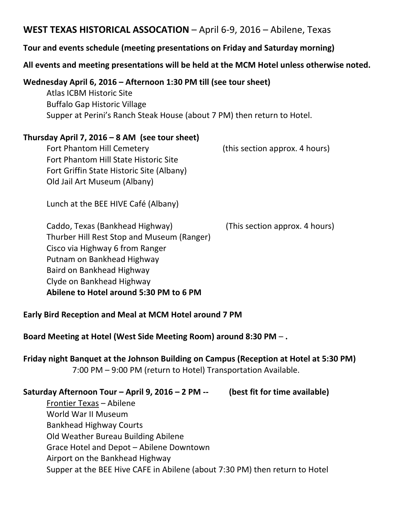### **WEST TEXAS HISTORICAL ASSOCATION** – April 6-9, 2016 – Abilene, Texas

#### **Tour and events schedule (meeting presentations on Friday and Saturday morning)**

### **All events and meeting presentations will be held at the MCM Hotel unless otherwise noted.**

#### **Wednesday April 6, 2016 – Afternoon 1:30 PM till (see tour sheet)**

Atlas ICBM Historic Site Buffalo Gap Historic Village Supper at Perini's Ranch Steak House (about 7 PM) then return to Hotel.

#### **Thursday April 7, 2016 – 8 AM (see tour sheet)**

Fort Phantom Hill Cemetery (this section approx. 4 hours) Fort Phantom Hill State Historic Site Fort Griffin State Historic Site (Albany) Old Jail Art Museum (Albany)

Lunch at the BEE HIVE Café (Albany)

Caddo, Texas (Bankhead Highway) (This section approx. 4 hours) Thurber Hill Rest Stop and Museum (Ranger) Cisco via Highway 6 from Ranger Putnam on Bankhead Highway Baird on Bankhead Highway Clyde on Bankhead Highway **Abilene to Hotel around 5:30 PM to 6 PM**

#### **Early Bird Reception and Meal at MCM Hotel around 7 PM**

**Board Meeting at Hotel (West Side Meeting Room) around 8:30 PM** – **.**

**Friday night Banquet at the Johnson Building on Campus (Reception at Hotel at 5:30 PM)** 7:00 PM – 9:00 PM (return to Hotel) Transportation Available.

### **Saturday Afternoon Tour – April 9, 2016 – 2 PM -- (best fit for time available)**

Frontier Texas – Abilene World War II Museum Bankhead Highway Courts Old Weather Bureau Building Abilene Grace Hotel and Depot – Abilene Downtown Airport on the Bankhead Highway Supper at the BEE Hive CAFE in Abilene (about 7:30 PM) then return to Hotel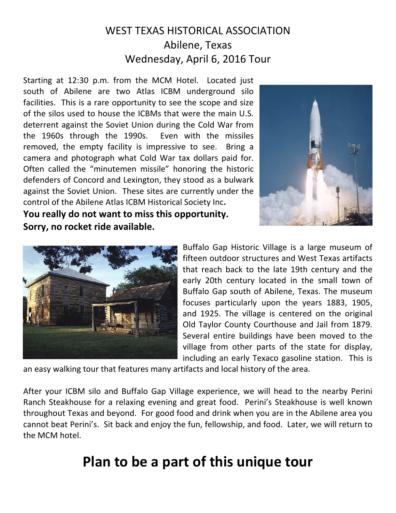## WEST TEXAS HISTORICAL ASSOCIATION Abilene, Texas Wednesday, April 6, 2016 Tour

Starting at 12:30 p.m. from the MCM Hotel. Located just south of Abilene are two Atlas ICBM underground silo facilities. This is a rare opportunity to see the scope and size of the silos used to house the ICBMs that were the main U.S. deterrent against the Soviet Union during the Cold War from the 1960s through the 1990s. Even with the missiles removed, the empty facility is impressive to see. Bring a camera and photograph what Cold War tax dollars paid for. Often called the "minutemen missile" honoring the historic defenders of Concord and Lexington, they stood as a bulwark against the Soviet Union. These sites are currently under the control of the Abilene Atlas ICBM Historical Society Inc**. You really do not want to miss this opportunity.**





**Sorry, no rocket ride available.**

Buffalo Gap Historic Village is a large museum of fifteen outdoor structures and West Texas artifacts that reach back to the late 19th century and the early 20th century located in the small town of Buffalo Gap south of Abilene, Texas. The museum focuses particularly upon the years 1883, 1905, and 1925. The village is centered on the original Old Taylor County Courthouse and Jail from 1879. Several entire buildings have been moved to the village from other parts of the state for display, including an early Texaco gasoline station. This is

an easy walking tour that features many artifacts and local history of the area.

After your ICBM silo and Buffalo Gap Village experience, we will head to the nearby Perini Ranch Steakhouse for a relaxing evening and great food. Perini's Steakhouse is well known throughout Texas and beyond. For good food and drink when you are in the Abilene area you cannot beat Perini's. Sit back and enjoy the fun, fellowship, and food. Later, we will return to the MCM hotel.

# **Plan to be a part of this unique tour**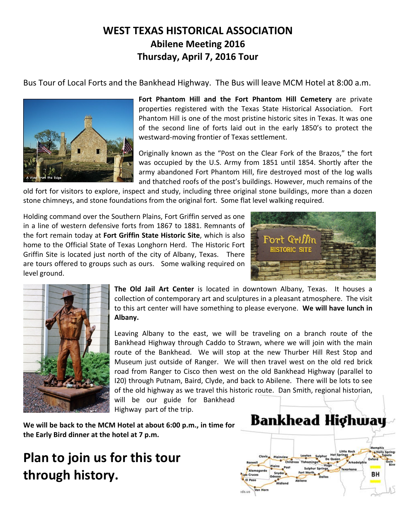### **WEST TEXAS HISTORICAL ASSOCIATION Abilene Meeting 2016 Thursday, April 7, 2016 Tour**

Bus Tour of Local Forts and the Bankhead Highway. The Bus will leave MCM Hotel at 8:00 a.m.



**Fort Phantom Hill and the Fort Phantom Hill Cemetery** are private properties registered with the Texas State Historical Association. Fort Phantom Hill is one of the most pristine historic sites in Texas. It was one of the second line of forts laid out in the early 1850's to protect the westward-moving frontier of Texas settlement.

Originally known as the "Post on the Clear Fork of the Brazos," the fort was occupied by the U.S. Army from 1851 until 1854. Shortly after the army abandoned Fort Phantom Hill, fire destroyed most of the log walls and thatched roofs of the post's buildings. However, much remains of the

old fort for visitors to explore, inspect and study, including three original stone buildings, more than a dozen stone chimneys, and stone foundations from the original fort. Some flat level walking required.

Holding command over the Southern Plains, Fort Griffin served as one in a line of western defensive forts from 1867 to 1881. Remnants of the fort remain today at **Fort Griffin State Historic Site**, which is also home to the Official State of Texas Longhorn Herd. The Historic Fort Griffin Site is located just north of the city of Albany, Texas. There are tours offered to groups such as ours. Some walking required on level ground.





**The Old Jail Art Center** is located in downtown Albany, Texas. It houses a collection of contemporary art and sculptures in a pleasant atmosphere. The visit to this art center will have something to please everyone. **We will have lunch in Albany.**

Leaving Albany to the east, we will be traveling on a branch route of the Bankhead Highway through Caddo to Strawn, where we will join with the main route of the Bankhead. We will stop at the new Thurber Hill Rest Stop and Museum just outside of Ranger. We will then travel west on the old red brick road from Ranger to Cisco then west on the old Bankhead Highway (parallel to I20) through Putnam, Baird, Clyde, and back to Abilene. There will be lots to see of the old highway as we travel this historic route. Dan Smith, regional historian, will be our guide for Bankhead Highway part of the trip.

**We will be back to the MCM Hotel at about 6:00 p.m., in time for the Early Bird dinner at the hotel at 7 p.m.**

# **Plan to join us for this tour through history.**